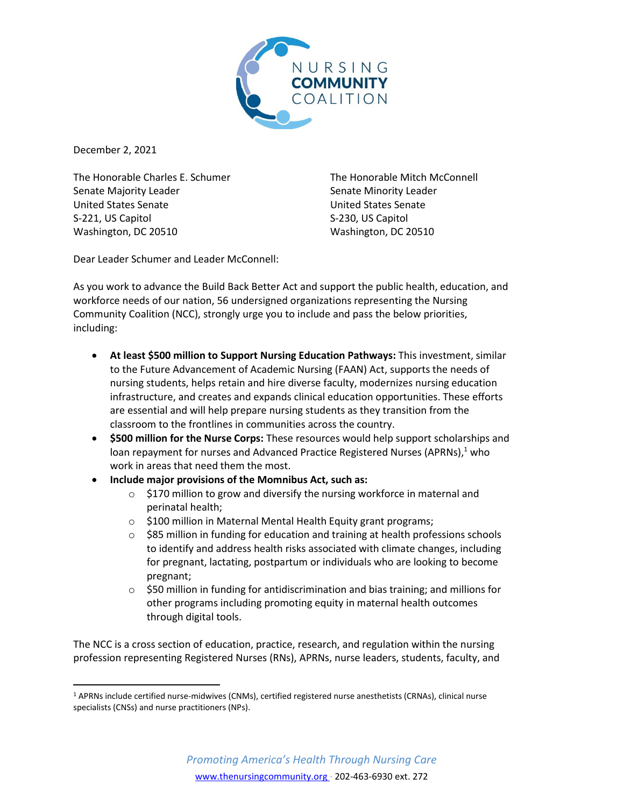

December 2, 2021

The Honorable Charles E. Schumer Senate Majority Leader United States Senate S-221, US Capitol Washington, DC 20510

The Honorable Mitch McConnell Senate Minority Leader United States Senate S-230, US Capitol Washington, DC 20510

Dear Leader Schumer and Leader McConnell:

As you work to advance the Build Back Better Act and support the public health, education, and workforce needs of our nation, 56 undersigned organizations representing the Nursing Community Coalition (NCC), strongly urge you to include and pass the below priorities, including:

- **At least \$500 million to Support Nursing Education Pathways:** This investment, similar to the Future Advancement of Academic Nursing (FAAN) Act, supports the needs of nursing students, helps retain and hire diverse faculty, modernizes nursing education infrastructure, and creates and expands clinical education opportunities. These efforts are essential and will help prepare nursing students as they transition from the classroom to the frontlines in communities across the country.
- **\$500 million for the Nurse Corps:** These resources would help support scholarships and loan repayment for nurses and Advanced Practice Registered Nurses (APRNs), $1$  who work in areas that need them the most.
- **Include major provisions of the Momnibus Act, such as:**
	- o \$170 million to grow and diversify the nursing workforce in maternal and perinatal health;
	- o \$100 million in Maternal Mental Health Equity grant programs;
	- $\circ$  \$85 million in funding for education and training at health professions schools to identify and address health risks associated with climate changes, including for pregnant, lactating, postpartum or individuals who are looking to become pregnant;
	- $\circ$  \$50 million in funding for antidiscrimination and bias training; and millions for other programs including promoting equity in maternal health outcomes through digital tools.

The NCC is a cross section of education, practice, research, and regulation within the nursing profession representing Registered Nurses (RNs), APRNs, nurse leaders, students, faculty, and

<sup>1</sup> APRNs include certified nurse-midwives (CNMs), certified registered nurse anesthetists (CRNAs), clinical nurse specialists (CNSs) and nurse practitioners (NPs).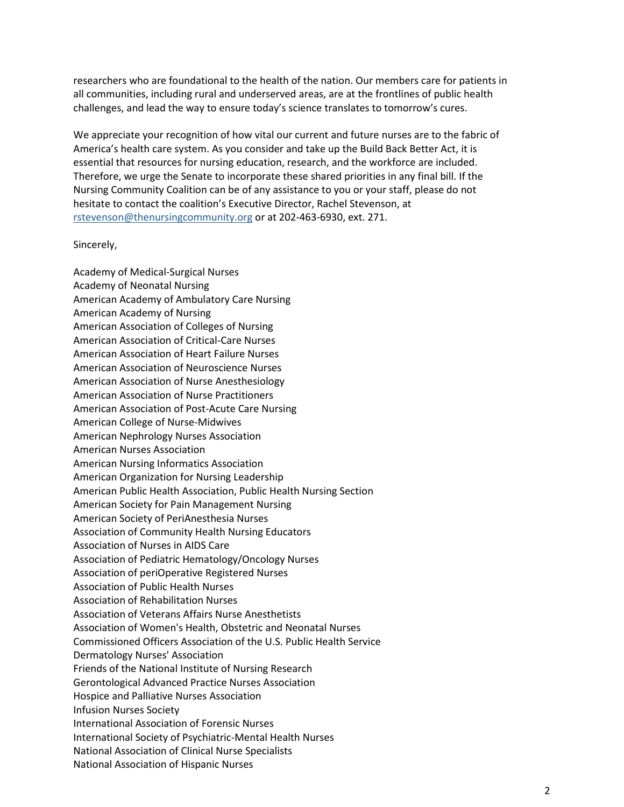researchers who are foundational to the health of the nation. Our members care for patients in all communities, including rural and underserved areas, are at the frontlines of public health challenges, and lead the way to ensure today's science translates to tomorrow's cures.

We appreciate your recognition of how vital our current and future nurses are to the fabric of America's health care system. As you consider and take up the Build Back Better Act, it is essential that resources for nursing education, research, and the workforce are included. Therefore, we urge the Senate to incorporate these shared priorities in any final bill. If the Nursing Community Coalition can be of any assistance to you or your staff, please do not hesitate to contact the coalition's Executive Director, Rachel Stevenson, at rstevenson@thenursingcommunity.org or at 202-463-6930, ext. 271.

## Sincerely,

Academy of Medical-Surgical Nurses Academy of Neonatal Nursing American Academy of Ambulatory Care Nursing American Academy of Nursing American Association of Colleges of Nursing American Association of Critical-Care Nurses American Association of Heart Failure Nurses American Association of Neuroscience Nurses American Association of Nurse Anesthesiology American Association of Nurse Practitioners American Association of Post-Acute Care Nursing American College of Nurse-Midwives American Nephrology Nurses Association American Nurses Association American Nursing Informatics Association American Organization for Nursing Leadership American Public Health Association, Public Health Nursing Section American Society for Pain Management Nursing American Society of PeriAnesthesia Nurses Association of Community Health Nursing Educators Association of Nurses in AIDS Care Association of Pediatric Hematology/Oncology Nurses Association of periOperative Registered Nurses Association of Public Health Nurses Association of Rehabilitation Nurses Association of Veterans Affairs Nurse Anesthetists Association of Women's Health, Obstetric and Neonatal Nurses Commissioned Officers Association of the U.S. Public Health Service Dermatology Nurses' Association Friends of the National Institute of Nursing Research Gerontological Advanced Practice Nurses Association Hospice and Palliative Nurses Association Infusion Nurses Society International Association of Forensic Nurses International Society of Psychiatric-Mental Health Nurses National Association of Clinical Nurse Specialists National Association of Hispanic Nurses